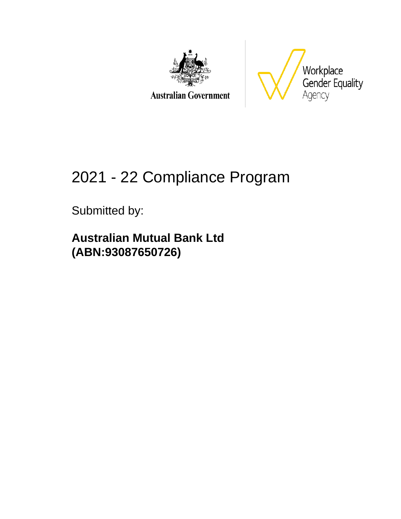

**Australian Government** 



# 2021 - 22 Compliance Program

Submitted by:

**Australian Mutual Bank Ltd (ABN:93087650726)**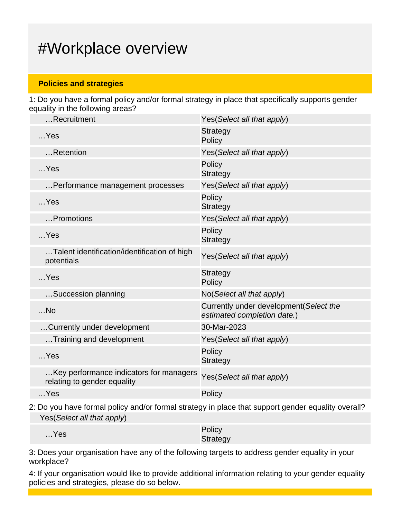## #Workplace overview

### **Policies and strategies**

1: Do you have a formal policy and/or formal strategy in place that specifically supports gender equality in the following areas?

| Recruitment                                                            | Yes(Select all that apply)                                             |
|------------------------------------------------------------------------|------------------------------------------------------------------------|
| $$ Yes                                                                 | <b>Strategy</b><br>Policy                                              |
| Retention                                                              | Yes(Select all that apply)                                             |
| $$ Yes                                                                 | Policy<br><b>Strategy</b>                                              |
| Performance management processes                                       | Yes (Select all that apply)                                            |
| $$ Yes                                                                 | Policy<br><b>Strategy</b>                                              |
| Promotions                                                             | Yes(Select all that apply)                                             |
| $$ Yes                                                                 | Policy<br><b>Strategy</b>                                              |
| Talent identification/identification of high<br>potentials             | Yes (Select all that apply)                                            |
| $$ Yes                                                                 | <b>Strategy</b><br>Policy                                              |
| Succession planning                                                    | No(Select all that apply)                                              |
| $$ No                                                                  | Currently under development (Select the<br>estimated completion date.) |
| Currently under development                                            | 30-Mar-2023                                                            |
| Training and development                                               | Yes(Select all that apply)                                             |
| $$ Yes                                                                 | Policy<br><b>Strategy</b>                                              |
| Key performance indicators for managers<br>relating to gender equality | Yes(Select all that apply)                                             |
| $$ Yes                                                                 | Policy                                                                 |
|                                                                        |                                                                        |

2: Do you have formal policy and/or formal strategy in place that support gender equality overall? Yes(Select all that apply)

| $$ Yes | Policy   |
|--------|----------|
|        | Strategy |

3: Does your organisation have any of the following targets to address gender equality in your workplace?

4: If your organisation would like to provide additional information relating to your gender equality policies and strategies, please do so below.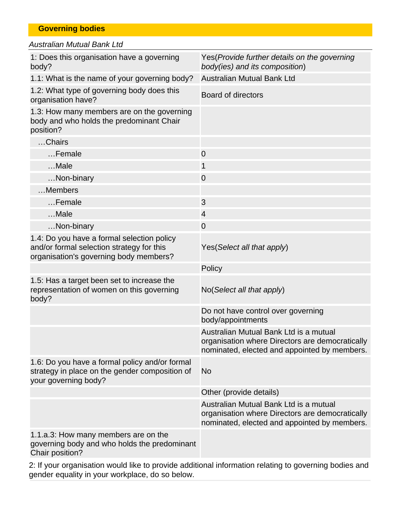|  | <b>Governing bodies</b> |
|--|-------------------------|
|  |                         |

| <b>Australian Mutual Bank Ltd</b>                                                                                                 |                                                                                                                                           |
|-----------------------------------------------------------------------------------------------------------------------------------|-------------------------------------------------------------------------------------------------------------------------------------------|
| 1: Does this organisation have a governing<br>body?                                                                               | Yes (Provide further details on the governing<br>body(ies) and its composition)                                                           |
| 1.1: What is the name of your governing body?                                                                                     | Australian Mutual Bank Ltd                                                                                                                |
| 1.2: What type of governing body does this<br>organisation have?                                                                  | <b>Board of directors</b>                                                                                                                 |
| 1.3: How many members are on the governing<br>body and who holds the predominant Chair<br>position?                               |                                                                                                                                           |
| Chairs                                                                                                                            |                                                                                                                                           |
| Female                                                                                                                            | $\overline{0}$                                                                                                                            |
| Male                                                                                                                              | 1                                                                                                                                         |
| Non-binary                                                                                                                        | $\overline{0}$                                                                                                                            |
| Members                                                                                                                           |                                                                                                                                           |
| $$ Female                                                                                                                         | 3                                                                                                                                         |
| Male                                                                                                                              | 4                                                                                                                                         |
| Non-binary                                                                                                                        | $\mathbf 0$                                                                                                                               |
| 1.4: Do you have a formal selection policy<br>and/or formal selection strategy for this<br>organisation's governing body members? | Yes (Select all that apply)                                                                                                               |
|                                                                                                                                   | Policy                                                                                                                                    |
| 1.5: Has a target been set to increase the<br>representation of women on this governing<br>body?                                  | No(Select all that apply)                                                                                                                 |
|                                                                                                                                   | Do not have control over governing<br>body/appointments                                                                                   |
|                                                                                                                                   | Australian Mutual Bank Ltd is a mutual<br>organisation where Directors are democratically<br>nominated, elected and appointed by members. |
| 1.6: Do you have a formal policy and/or formal<br>strategy in place on the gender composition of<br>your governing body?          | <b>No</b>                                                                                                                                 |
|                                                                                                                                   | Other (provide details)                                                                                                                   |
|                                                                                                                                   | Australian Mutual Bank Ltd is a mutual<br>organisation where Directors are democratically<br>nominated, elected and appointed by members. |
| 1.1.a.3: How many members are on the<br>governing body and who holds the predominant<br>Chair position?                           |                                                                                                                                           |
|                                                                                                                                   |                                                                                                                                           |

2: If your organisation would like to provide additional information relating to governing bodies and gender equality in your workplace, do so below.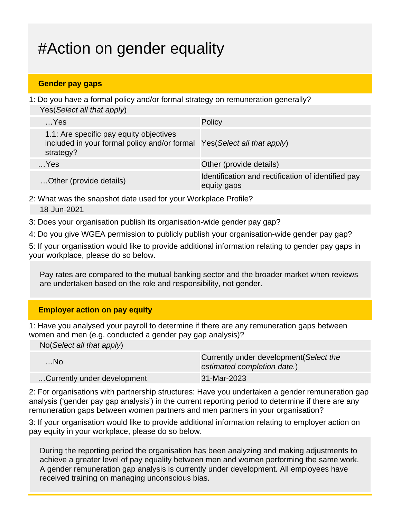## #Action on gender equality

### **Gender pay gaps**

1: Do you have a formal policy and/or formal strategy on remuneration generally? Yes(Select all that apply)

| $$ Yes                                                                                                                          | Policy                                                            |
|---------------------------------------------------------------------------------------------------------------------------------|-------------------------------------------------------------------|
| 1.1: Are specific pay equity objectives<br>included in your formal policy and/or formal Yes(Select all that apply)<br>strategy? |                                                                   |
| $$ Yes                                                                                                                          | Other (provide details)                                           |
| Other (provide details)                                                                                                         | Identification and rectification of identified pay<br>equity gaps |

2: What was the snapshot date used for your Workplace Profile? 18-Jun-2021

3: Does your organisation publish its organisation-wide gender pay gap?

4: Do you give WGEA permission to publicly publish your organisation-wide gender pay gap?

5: If your organisation would like to provide additional information relating to gender pay gaps in your workplace, please do so below.

Pay rates are compared to the mutual banking sector and the broader market when reviews are undertaken based on the role and responsibility, not gender.

### **Employer action on pay equity**

1: Have you analysed your payroll to determine if there are any remuneration gaps between women and men (e.g. conducted a gender pay gap analysis)?

No(Select all that apply)

| $$ No                       | Currently under development (Select the<br>estimated completion date.) |
|-----------------------------|------------------------------------------------------------------------|
| Currently under development | 31-Mar-2023                                                            |

2: For organisations with partnership structures: Have you undertaken a gender remuneration gap analysis ('gender pay gap analysis') in the current reporting period to determine if there are any remuneration gaps between women partners and men partners in your organisation?

3: If your organisation would like to provide additional information relating to employer action on pay equity in your workplace, please do so below.

During the reporting period the organisation has been analyzing and making adjustments to achieve a greater level of pay equality between men and women performing the same work. A gender remuneration gap analysis is currently under development. All employees have received training on managing unconscious bias.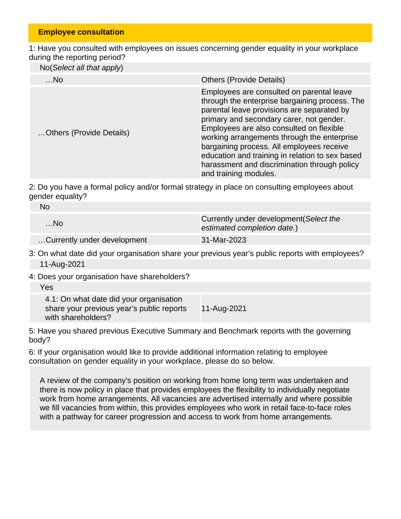#### **Employee consultation**

1: Have you consulted with employees on issues concerning gender equality in your workplace during the reporting period?

No(Select all that apply)

| $$ No                    | <b>Others (Provide Details)</b>                                                                                                                                                                                                                                                                                                                                                                                                                           |
|--------------------------|-----------------------------------------------------------------------------------------------------------------------------------------------------------------------------------------------------------------------------------------------------------------------------------------------------------------------------------------------------------------------------------------------------------------------------------------------------------|
| Others (Provide Details) | Employees are consulted on parental leave<br>through the enterprise bargaining process. The<br>parental leave provisions are separated by<br>primary and secondary carer, not gender.<br>Employees are also consulted on flexible<br>working arrangements through the enterprise<br>bargaining process. All employees receive<br>education and training in relation to sex based<br>harassment and discrimination through policy<br>and training modules. |

2: Do you have a formal policy and/or formal strategy in place on consulting employees about gender equality?

| No                          |                                                                        |
|-----------------------------|------------------------------------------------------------------------|
| $$ No                       | Currently under development (Select the<br>estimated completion date.) |
| Currently under development | 31-Mar-2023                                                            |

3: On what date did your organisation share your previous year's public reports with employees? 11-Aug-2021

4: Does your organisation have shareholders?

| Yes                |                                                                                      |             |
|--------------------|--------------------------------------------------------------------------------------|-------------|
| with shareholders? | 4.1: On what date did your organisation<br>share your previous year's public reports | 11-Aug-2021 |

5: Have you shared previous Executive Summary and Benchmark reports with the governing body?

6: If your organisation would like to provide additional information relating to employee consultation on gender equality in your workplace, please do so below.

A review of the company's position on working from home long term was undertaken and there is now policy in place that provides employees the flexibility to individually negotiate work from home arrangements. All vacancies are advertised internally and where possible we fill vacancies from within, this provides employees who work in retail face-to-face roles with a pathway for career progression and access to work from home arrangements.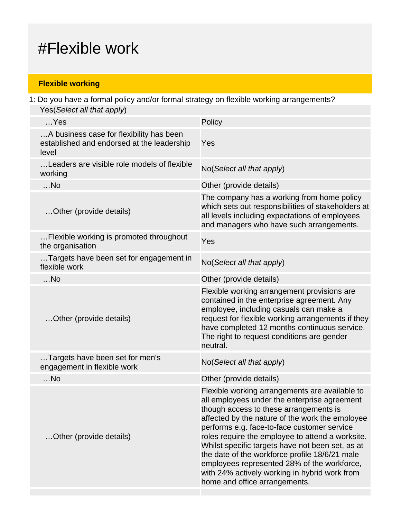## #Flexible work

## **Flexible working**

1: Do you have a formal policy and/or formal strategy on flexible working arrangements? Yes(Select all that apply)

| $$ Yes                                                                                          | Policy                                                                                                                                                                                                                                                                                                                                                                                                                                                                                                                                |
|-------------------------------------------------------------------------------------------------|---------------------------------------------------------------------------------------------------------------------------------------------------------------------------------------------------------------------------------------------------------------------------------------------------------------------------------------------------------------------------------------------------------------------------------------------------------------------------------------------------------------------------------------|
| A business case for flexibility has been<br>established and endorsed at the leadership<br>level | Yes                                                                                                                                                                                                                                                                                                                                                                                                                                                                                                                                   |
| Leaders are visible role models of flexible<br>working                                          | No(Select all that apply)                                                                                                                                                                                                                                                                                                                                                                                                                                                                                                             |
| $$ No                                                                                           | Other (provide details)                                                                                                                                                                                                                                                                                                                                                                                                                                                                                                               |
| Other (provide details)                                                                         | The company has a working from home policy<br>which sets out responsibilities of stakeholders at<br>all levels including expectations of employees<br>and managers who have such arrangements.                                                                                                                                                                                                                                                                                                                                        |
| Flexible working is promoted throughout<br>the organisation                                     | Yes                                                                                                                                                                                                                                                                                                                                                                                                                                                                                                                                   |
| Targets have been set for engagement in<br>flexible work                                        | No(Select all that apply)                                                                                                                                                                                                                                                                                                                                                                                                                                                                                                             |
| $$ No                                                                                           | Other (provide details)                                                                                                                                                                                                                                                                                                                                                                                                                                                                                                               |
| Other (provide details)                                                                         | Flexible working arrangement provisions are<br>contained in the enterprise agreement. Any<br>employee, including casuals can make a<br>request for flexible working arrangements if they<br>have completed 12 months continuous service.<br>The right to request conditions are gender<br>neutral.                                                                                                                                                                                                                                    |
| Targets have been set for men's<br>engagement in flexible work                                  | No(Select all that apply)                                                                                                                                                                                                                                                                                                                                                                                                                                                                                                             |
| $$ No                                                                                           | Other (provide details)                                                                                                                                                                                                                                                                                                                                                                                                                                                                                                               |
| Other (provide details)                                                                         | Flexible working arrangements are available to<br>all employees under the enterprise agreement<br>though access to these arrangements is<br>affected by the nature of the work the employee<br>performs e.g. face-to-face customer service<br>roles require the employee to attend a worksite.<br>Whilst specific targets have not been set, as at<br>the date of the workforce profile 18/6/21 male<br>employees represented 28% of the workforce,<br>with 24% actively working in hybrid work from<br>home and office arrangements. |
|                                                                                                 |                                                                                                                                                                                                                                                                                                                                                                                                                                                                                                                                       |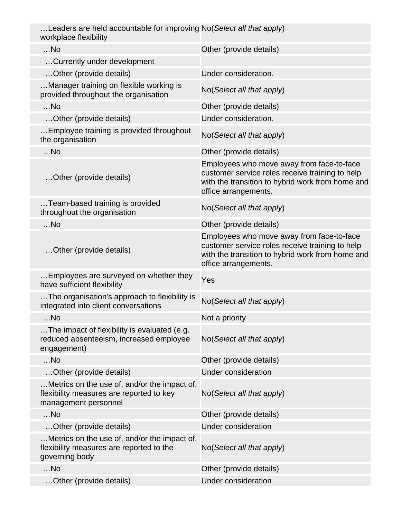| Leaders are held accountable for improving No(Select all that apply)<br>workplace flexibility                    |                                                                                                                                                                          |
|------------------------------------------------------------------------------------------------------------------|--------------------------------------------------------------------------------------------------------------------------------------------------------------------------|
| $$ No                                                                                                            | Other (provide details)                                                                                                                                                  |
| Currently under development                                                                                      |                                                                                                                                                                          |
| Other (provide details)                                                                                          | Under consideration.                                                                                                                                                     |
| Manager training on flexible working is<br>provided throughout the organisation                                  | No(Select all that apply)                                                                                                                                                |
| $$ No                                                                                                            | Other (provide details)                                                                                                                                                  |
| Other (provide details)                                                                                          | Under consideration.                                                                                                                                                     |
| Employee training is provided throughout<br>the organisation                                                     | No(Select all that apply)                                                                                                                                                |
| $$ No                                                                                                            | Other (provide details)                                                                                                                                                  |
| Other (provide details)                                                                                          | Employees who move away from face-to-face<br>customer service roles receive training to help<br>with the transition to hybrid work from home and<br>office arrangements. |
| Team-based training is provided<br>throughout the organisation                                                   | No(Select all that apply)                                                                                                                                                |
| $$ No                                                                                                            | Other (provide details)                                                                                                                                                  |
| Other (provide details)                                                                                          | Employees who move away from face-to-face<br>customer service roles receive training to help<br>with the transition to hybrid work from home and<br>office arrangements. |
| Employees are surveyed on whether they<br>have sufficient flexibility                                            | Yes                                                                                                                                                                      |
| The organisation's approach to flexibility is<br>integrated into client conversations                            | No(Select all that apply)                                                                                                                                                |
| $$ No                                                                                                            | Not a priority                                                                                                                                                           |
| The impact of flexibility is evaluated (e.g.<br>reduced absenteeism, increased employee<br>engagement)           | No(Select all that apply)                                                                                                                                                |
| $$ No                                                                                                            | Other (provide details)                                                                                                                                                  |
| Other (provide details)                                                                                          | <b>Under consideration</b>                                                                                                                                               |
| Metrics on the use of, and/or the impact of,<br>flexibility measures are reported to key<br>management personnel | No(Select all that apply)                                                                                                                                                |
| $$ No                                                                                                            | Other (provide details)                                                                                                                                                  |
| Other (provide details)                                                                                          | <b>Under consideration</b>                                                                                                                                               |
| . Metrics on the use of, and/or the impact of,<br>flexibility measures are reported to the<br>governing body     | No(Select all that apply)                                                                                                                                                |
| $$ No                                                                                                            | Other (provide details)                                                                                                                                                  |
| Other (provide details)                                                                                          | <b>Under consideration</b>                                                                                                                                               |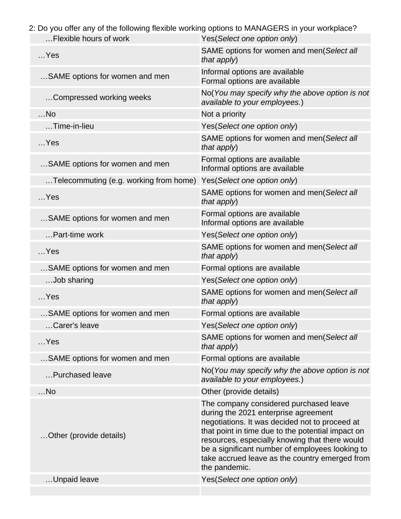2: Do you offer any of the following flexible working options to MANAGERS in your workplace?

| Flexible hours of work                 | Yes(Select one option only)                                                                                                                                                                                                                                                                                                                                   |
|----------------------------------------|---------------------------------------------------------------------------------------------------------------------------------------------------------------------------------------------------------------------------------------------------------------------------------------------------------------------------------------------------------------|
| $$ Yes                                 | SAME options for women and men(Select all<br>that apply)                                                                                                                                                                                                                                                                                                      |
| SAME options for women and men         | Informal options are available<br>Formal options are available                                                                                                                                                                                                                                                                                                |
| Compressed working weeks               | No(You may specify why the above option is not<br>available to your employees.)                                                                                                                                                                                                                                                                               |
| $$ No                                  | Not a priority                                                                                                                                                                                                                                                                                                                                                |
| Time-in-lieu                           | Yes(Select one option only)                                                                                                                                                                                                                                                                                                                                   |
| $$ Yes                                 | SAME options for women and men(Select all<br>that apply)                                                                                                                                                                                                                                                                                                      |
| SAME options for women and men         | Formal options are available<br>Informal options are available                                                                                                                                                                                                                                                                                                |
| Telecommuting (e.g. working from home) | Yes(Select one option only)                                                                                                                                                                                                                                                                                                                                   |
| $$ Yes                                 | SAME options for women and men(Select all<br>that apply)                                                                                                                                                                                                                                                                                                      |
| SAME options for women and men         | Formal options are available<br>Informal options are available                                                                                                                                                                                                                                                                                                |
| Part-time work                         | Yes(Select one option only)                                                                                                                                                                                                                                                                                                                                   |
| $$ Yes                                 | SAME options for women and men(Select all<br>that apply)                                                                                                                                                                                                                                                                                                      |
| SAME options for women and men         | Formal options are available                                                                                                                                                                                                                                                                                                                                  |
| Job sharing                            | Yes(Select one option only)                                                                                                                                                                                                                                                                                                                                   |
| $$ Yes                                 | SAME options for women and men(Select all<br>that apply)                                                                                                                                                                                                                                                                                                      |
| SAME options for women and men         | Formal options are available                                                                                                                                                                                                                                                                                                                                  |
| Carer's leave                          | Yes(Select one option only)                                                                                                                                                                                                                                                                                                                                   |
| $$ Yes                                 | SAME options for women and men(Select all<br>that apply)                                                                                                                                                                                                                                                                                                      |
| SAME options for women and men         | Formal options are available                                                                                                                                                                                                                                                                                                                                  |
| Purchased leave                        | No(You may specify why the above option is not<br>available to your employees.)                                                                                                                                                                                                                                                                               |
| $$ No                                  | Other (provide details)                                                                                                                                                                                                                                                                                                                                       |
| Other (provide details)                | The company considered purchased leave<br>during the 2021 enterprise agreement<br>negotiations. It was decided not to proceed at<br>that point in time due to the potential impact on<br>resources, especially knowing that there would<br>be a significant number of employees looking to<br>take accrued leave as the country emerged from<br>the pandemic. |
| Unpaid leave                           | Yes(Select one option only)                                                                                                                                                                                                                                                                                                                                   |
|                                        |                                                                                                                                                                                                                                                                                                                                                               |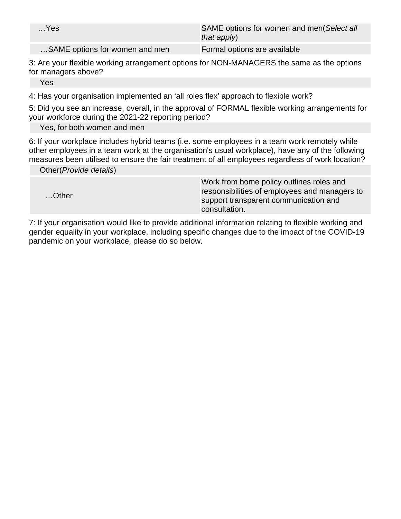| $$ Yes                         | SAME options for women and men(Select all<br>that apply) |
|--------------------------------|----------------------------------------------------------|
| SAME options for women and men | Formal options are available                             |

3: Are your flexible working arrangement options for NON-MANAGERS the same as the options for managers above?

Yes

4: Has your organisation implemented an 'all roles flex' approach to flexible work?

5: Did you see an increase, overall, in the approval of FORMAL flexible working arrangements for your workforce during the 2021-22 reporting period?

Yes, for both women and men

6: If your workplace includes hybrid teams (i.e. some employees in a team work remotely while other employees in a team work at the organisation's usual workplace), have any of the following measures been utilised to ensure the fair treatment of all employees regardless of work location?

Other(Provide details)

| Other | Work from home policy outlines roles and      |
|-------|-----------------------------------------------|
|       | responsibilities of employees and managers to |
|       | support transparent communication and         |
|       | consultation.                                 |

7: If your organisation would like to provide additional information relating to flexible working and gender equality in your workplace, including specific changes due to the impact of the COVID-19 pandemic on your workplace, please do so below.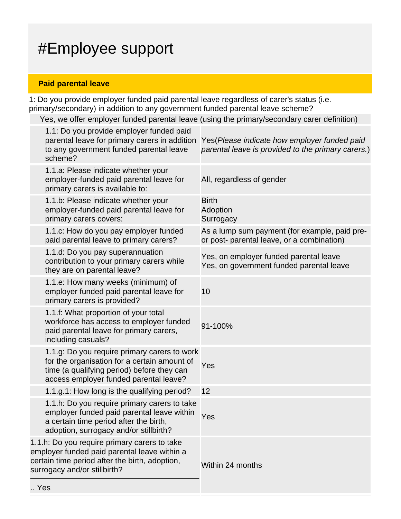## #Employee support

## **Paid parental leave**

 $\ddotsc$ 

1: Do you provide employer funded paid parental leave regardless of carer's status (i.e. primary/secondary) in addition to any government funded parental leave scheme?

Yes, we offer employer funded parental leave (using the primary/secondary carer definition)

|     | 1.1: Do you provide employer funded paid<br>parental leave for primary carers in addition<br>to any government funded parental leave<br>scheme?                                      | Yes (Please indicate how employer funded paid<br>parental leave is provided to the primary carers.) |
|-----|--------------------------------------------------------------------------------------------------------------------------------------------------------------------------------------|-----------------------------------------------------------------------------------------------------|
|     | 1.1.a: Please indicate whether your<br>employer-funded paid parental leave for<br>primary carers is available to:                                                                    | All, regardless of gender                                                                           |
|     | 1.1.b: Please indicate whether your<br>employer-funded paid parental leave for<br>primary carers covers:                                                                             | <b>Birth</b><br>Adoption<br>Surrogacy                                                               |
|     | 1.1.c: How do you pay employer funded<br>paid parental leave to primary carers?                                                                                                      | As a lump sum payment (for example, paid pre-<br>or post- parental leave, or a combination)         |
|     | 1.1.d: Do you pay superannuation<br>contribution to your primary carers while<br>they are on parental leave?                                                                         | Yes, on employer funded parental leave<br>Yes, on government funded parental leave                  |
|     | 1.1.e: How many weeks (minimum) of<br>employer funded paid parental leave for<br>primary carers is provided?                                                                         | 10                                                                                                  |
|     | 1.1.f: What proportion of your total<br>workforce has access to employer funded<br>paid parental leave for primary carers,<br>including casuals?                                     | 91-100%                                                                                             |
|     | 1.1.g: Do you require primary carers to work<br>for the organisation for a certain amount of<br>time (a qualifying period) before they can<br>access employer funded parental leave? | Yes                                                                                                 |
|     | 1.1.g.1: How long is the qualifying period?                                                                                                                                          | 12                                                                                                  |
|     | 1.1.h: Do you require primary carers to take<br>employer funded paid parental leave within<br>a certain time period after the birth,<br>adoption, surrogacy and/or stillbirth?       | Yes                                                                                                 |
|     | 1.1.h: Do you require primary carers to take<br>employer funded paid parental leave within a<br>certain time period after the birth, adoption,<br>surrogacy and/or stillbirth?       | Within 24 months                                                                                    |
| Yes |                                                                                                                                                                                      |                                                                                                     |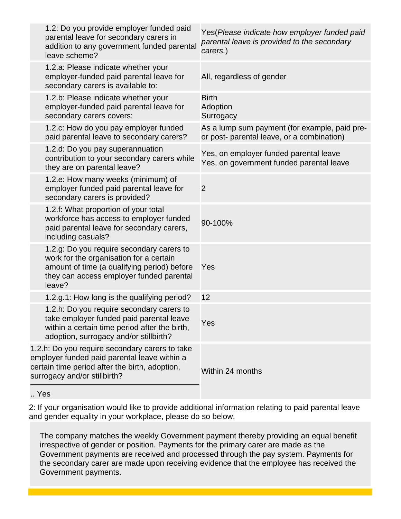| 1.2: Do you provide employer funded paid<br>parental leave for secondary carers in<br>addition to any government funded parental<br>leave scheme?                                         | Yes(Please indicate how employer funded paid<br>parental leave is provided to the secondary<br>carers.) |
|-------------------------------------------------------------------------------------------------------------------------------------------------------------------------------------------|---------------------------------------------------------------------------------------------------------|
| 1.2.a: Please indicate whether your<br>employer-funded paid parental leave for<br>secondary carers is available to:                                                                       | All, regardless of gender                                                                               |
| 1.2.b: Please indicate whether your<br>employer-funded paid parental leave for<br>secondary carers covers:                                                                                | <b>Birth</b><br>Adoption<br>Surrogacy                                                                   |
| 1.2.c: How do you pay employer funded<br>paid parental leave to secondary carers?                                                                                                         | As a lump sum payment (for example, paid pre-<br>or post- parental leave, or a combination)             |
| 1.2.d: Do you pay superannuation<br>contribution to your secondary carers while<br>they are on parental leave?                                                                            | Yes, on employer funded parental leave<br>Yes, on government funded parental leave                      |
| 1.2.e: How many weeks (minimum) of<br>employer funded paid parental leave for<br>secondary carers is provided?                                                                            | $\overline{2}$                                                                                          |
| 1.2.f: What proportion of your total<br>workforce has access to employer funded<br>paid parental leave for secondary carers,<br>including casuals?                                        | 90-100%                                                                                                 |
| 1.2.g: Do you require secondary carers to<br>work for the organisation for a certain<br>amount of time (a qualifying period) before<br>they can access employer funded parental<br>leave? | Yes                                                                                                     |
| 1.2.g.1: How long is the qualifying period?                                                                                                                                               | 12                                                                                                      |
| 1.2.h: Do you require secondary carers to<br>take employer funded paid parental leave<br>within a certain time period after the birth,<br>adoption, surrogacy and/or stillbirth?          | Yes                                                                                                     |
| 1.2.h: Do you require secondary carers to take<br>employer funded paid parental leave within a<br>certain time period after the birth, adoption,<br>surrogacy and/or stillbirth?          | Within 24 months                                                                                        |
|                                                                                                                                                                                           |                                                                                                         |

.. Yes

2: If your organisation would like to provide additional information relating to paid parental leave and gender equality in your workplace, please do so below.

The company matches the weekly Government payment thereby providing an equal benefit irrespective of gender or position. Payments for the primary carer are made as the Government payments are received and processed through the pay system. Payments for the secondary carer are made upon receiving evidence that the employee has received the Government payments.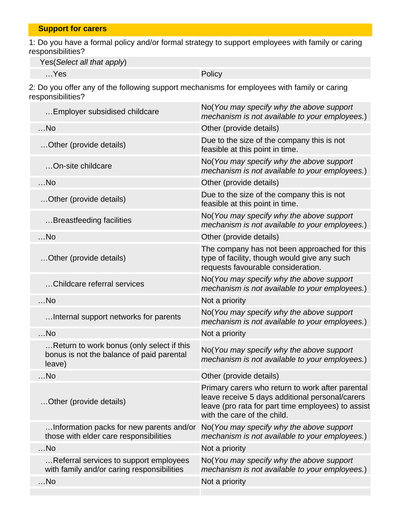1: Do you have a formal policy and/or formal strategy to support employees with family or caring responsibilities?

Yes(Select all that apply)

…Yes Policy

2: Do you offer any of the following support mechanisms for employees with family or caring responsibilities?

| Employer subsidised childcare                                                                    | No (You may specify why the above support<br>mechanism is not available to your employees.)                                                                                              |
|--------------------------------------------------------------------------------------------------|------------------------------------------------------------------------------------------------------------------------------------------------------------------------------------------|
| $$ No                                                                                            | Other (provide details)                                                                                                                                                                  |
| Other (provide details)                                                                          | Due to the size of the company this is not<br>feasible at this point in time.                                                                                                            |
| On-site childcare                                                                                | No(You may specify why the above support<br>mechanism is not available to your employees.)                                                                                               |
| $$ No                                                                                            | Other (provide details)                                                                                                                                                                  |
| Other (provide details)                                                                          | Due to the size of the company this is not<br>feasible at this point in time.                                                                                                            |
| Breastfeeding facilities                                                                         | No(You may specify why the above support<br>mechanism is not available to your employees.)                                                                                               |
| $$ No                                                                                            | Other (provide details)                                                                                                                                                                  |
| Other (provide details)                                                                          | The company has not been approached for this<br>type of facility, though would give any such<br>requests favourable consideration.                                                       |
| Childcare referral services                                                                      | No(You may specify why the above support<br>mechanism is not available to your employees.)                                                                                               |
| $$ No                                                                                            | Not a priority                                                                                                                                                                           |
| Internal support networks for parents                                                            | No(You may specify why the above support<br>mechanism is not available to your employees.)                                                                                               |
| $$ No                                                                                            | Not a priority                                                                                                                                                                           |
| Return to work bonus (only select if this<br>bonus is not the balance of paid parental<br>leave) | No(You may specify why the above support<br>mechanism is not available to your employees.)                                                                                               |
| $$ No                                                                                            | Other (provide details)                                                                                                                                                                  |
| Other (provide details)                                                                          | Primary carers who return to work after parental<br>leave receive 5 days additional personal/carers<br>leave (pro rata for part time employees) to assist<br>with the care of the child. |
| Information packs for new parents and/or<br>those with elder care responsibilities               | No(You may specify why the above support<br>mechanism is not available to your employees.)                                                                                               |
| $$ No                                                                                            | Not a priority                                                                                                                                                                           |
| Referral services to support employees<br>with family and/or caring responsibilities             | No(You may specify why the above support<br>mechanism is not available to your employees.)                                                                                               |
| $$ No                                                                                            | Not a priority                                                                                                                                                                           |
|                                                                                                  |                                                                                                                                                                                          |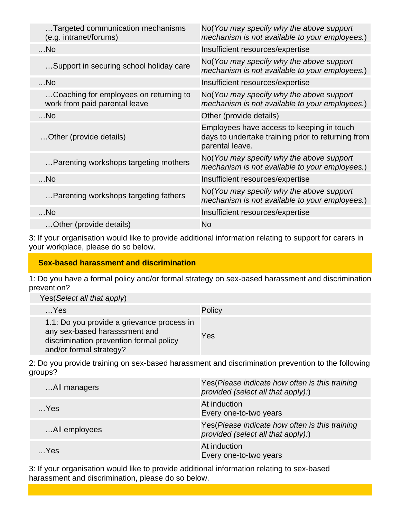| Targeted communication mechanisms<br>(e.g. intranet/forums)             | No (You may specify why the above support<br>mechanism is not available to your employees.)                        |
|-------------------------------------------------------------------------|--------------------------------------------------------------------------------------------------------------------|
| $$ No                                                                   | Insufficient resources/expertise                                                                                   |
| Support in securing school holiday care                                 | No(You may specify why the above support<br>mechanism is not available to your employees.)                         |
| $$ No                                                                   | Insufficient resources/expertise                                                                                   |
| Coaching for employees on returning to<br>work from paid parental leave | No(You may specify why the above support<br>mechanism is not available to your employees.)                         |
| $$ No                                                                   | Other (provide details)                                                                                            |
| Other (provide details)                                                 | Employees have access to keeping in touch<br>days to undertake training prior to returning from<br>parental leave. |
| Parenting workshops targeting mothers                                   | No(You may specify why the above support<br>mechanism is not available to your employees.)                         |
| $$ No                                                                   | Insufficient resources/expertise                                                                                   |
| Parenting workshops targeting fathers                                   | No(You may specify why the above support<br>mechanism is not available to your employees.)                         |
| $$ No                                                                   | Insufficient resources/expertise                                                                                   |
| Other (provide details)                                                 | <b>No</b>                                                                                                          |

3: If your organisation would like to provide additional information relating to support for carers in your workplace, please do so below.

## **Sex-based harassment and discrimination**

1: Do you have a formal policy and/or formal strategy on sex-based harassment and discrimination prevention?

Yes(Select all that apply)

| $$ Yes                                                                                                                                            | Policy |
|---------------------------------------------------------------------------------------------------------------------------------------------------|--------|
| 1.1: Do you provide a grievance process in<br>any sex-based harasssment and<br>discrimination prevention formal policy<br>and/or formal strategy? | Yes    |

2: Do you provide training on sex-based harassment and discrimination prevention to the following groups?

| All managers  | Yes (Please indicate how often is this training<br>provided (select all that apply):) |
|---------------|---------------------------------------------------------------------------------------|
| Yes           | At induction<br>Every one-to-two years                                                |
| All employees | Yes(Please indicate how often is this training<br>provided (select all that apply):)  |
| $$ Yes        | At induction<br>Every one-to-two years                                                |

3: If your organisation would like to provide additional information relating to sex-based harassment and discrimination, please do so below.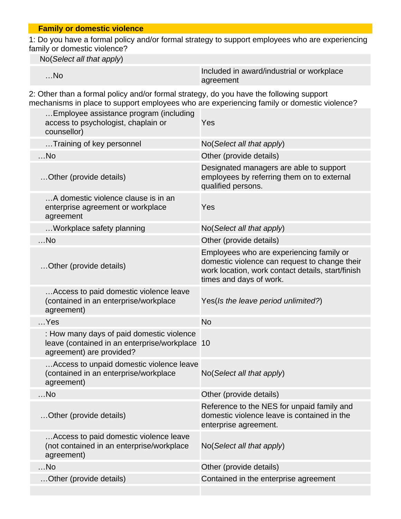### **Family or domestic violence**

1: Do you have a formal policy and/or formal strategy to support employees who are experiencing family or domestic violence?

No(Select all that apply)

| $$ No | Included in award/industrial or workplace |
|-------|-------------------------------------------|
|       | agreement                                 |

2: Other than a formal policy and/or formal strategy, do you have the following support mechanisms in place to support employees who are experiencing family or domestic violence?

| Employee assistance program (including<br>access to psychologist, chaplain or<br>counsellor)                            | Yes                                                                                                                                                                       |
|-------------------------------------------------------------------------------------------------------------------------|---------------------------------------------------------------------------------------------------------------------------------------------------------------------------|
| Training of key personnel                                                                                               | No(Select all that apply)                                                                                                                                                 |
| $$ No                                                                                                                   | Other (provide details)                                                                                                                                                   |
| Other (provide details)                                                                                                 | Designated managers are able to support<br>employees by referring them on to external<br>qualified persons.                                                               |
| A domestic violence clause is in an<br>enterprise agreement or workplace<br>agreement                                   | Yes                                                                                                                                                                       |
| Workplace safety planning                                                                                               | No(Select all that apply)                                                                                                                                                 |
| $$ No                                                                                                                   | Other (provide details)                                                                                                                                                   |
| Other (provide details)                                                                                                 | Employees who are experiencing family or<br>domestic violence can request to change their<br>work location, work contact details, start/finish<br>times and days of work. |
| Access to paid domestic violence leave<br>(contained in an enterprise/workplace<br>agreement)                           | Yes(Is the leave period unlimited?)                                                                                                                                       |
| $$ Yes                                                                                                                  | <b>No</b>                                                                                                                                                                 |
| : How many days of paid domestic violence<br>leave (contained in an enterprise/workplace 10<br>agreement) are provided? |                                                                                                                                                                           |
| Access to unpaid domestic violence leave<br>(contained in an enterprise/workplace<br>agreement)                         | No(Select all that apply)                                                                                                                                                 |
| $$ No                                                                                                                   | Other (provide details)                                                                                                                                                   |
| Other (provide details)                                                                                                 | Reference to the NES for unpaid family and<br>domestic violence leave is contained in the<br>enterprise agreement.                                                        |
| Access to paid domestic violence leave<br>(not contained in an enterprise/workplace<br>agreement)                       | No(Select all that apply)                                                                                                                                                 |
| $$ No                                                                                                                   | Other (provide details)                                                                                                                                                   |
| Other (provide details)                                                                                                 | Contained in the enterprise agreement                                                                                                                                     |
|                                                                                                                         |                                                                                                                                                                           |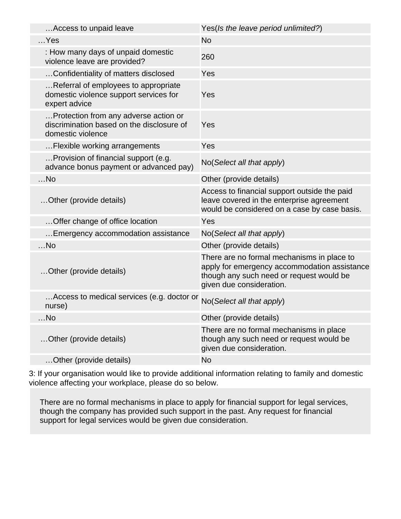| Access to unpaid leave                                                                                  | Yes(Is the leave period unlimited?)                                                                                                                                |
|---------------------------------------------------------------------------------------------------------|--------------------------------------------------------------------------------------------------------------------------------------------------------------------|
| $$ Yes                                                                                                  | <b>No</b>                                                                                                                                                          |
| : How many days of unpaid domestic<br>violence leave are provided?                                      | 260                                                                                                                                                                |
| Confidentiality of matters disclosed                                                                    | Yes                                                                                                                                                                |
| Referral of employees to appropriate<br>domestic violence support services for<br>expert advice         | Yes                                                                                                                                                                |
| Protection from any adverse action or<br>discrimination based on the disclosure of<br>domestic violence | Yes                                                                                                                                                                |
| Flexible working arrangements                                                                           | Yes                                                                                                                                                                |
| Provision of financial support (e.g.<br>advance bonus payment or advanced pay)                          | No(Select all that apply)                                                                                                                                          |
| $$ No                                                                                                   | Other (provide details)                                                                                                                                            |
| Other (provide details)                                                                                 | Access to financial support outside the paid<br>leave covered in the enterprise agreement<br>would be considered on a case by case basis.                          |
| Offer change of office location                                                                         | Yes                                                                                                                                                                |
| Emergency accommodation assistance                                                                      | No(Select all that apply)                                                                                                                                          |
| $$ No                                                                                                   | Other (provide details)                                                                                                                                            |
| Other (provide details)                                                                                 | There are no formal mechanisms in place to<br>apply for emergency accommodation assistance<br>though any such need or request would be<br>given due consideration. |
| Access to medical services (e.g. doctor or<br>nurse)                                                    | No(Select all that apply)                                                                                                                                          |
| $$ No                                                                                                   | Other (provide details)                                                                                                                                            |
| Other (provide details)                                                                                 | There are no formal mechanisms in place<br>though any such need or request would be<br>given due consideration.                                                    |
| Other (provide details)                                                                                 | <b>No</b>                                                                                                                                                          |

3: If your organisation would like to provide additional information relating to family and domestic violence affecting your workplace, please do so below.

There are no formal mechanisms in place to apply for financial support for legal services, though the company has provided such support in the past. Any request for financial support for legal services would be given due consideration.